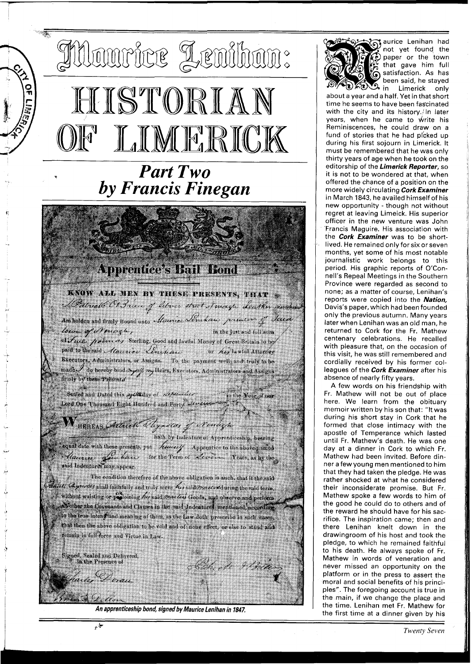## THourice Lenihan: HISTORIAN LIMERICK  $\mathbb{M}^{\mathbb{N}}$

 $\frac{1}{2}$ 

## *Part Two by Francis Finegan*

## **Apprentice's Bail Bond**

## KNOW ALL MEN BY THESE PRESENTS, THAT APatrick Or Price of librer street Newcegh Leather montreal

Ara holden and firmly Bound unto Acurice Senskaw princes of Said lown of Nencezh, in the just and full sum

of Fine. point as Sterling, Good and lawful Money of Great Britain to be paid to the said *Alacerice Lengthan* or he lawful Attorney Bxecutors, Administrators, or Assigns. To the payment well and truly to be  $\text{mad}_\mathcal{C}$  do hereby bind  $\mathbb{Z}_p$  eg Heirs, Executors, Administrators and Assigns finaly by these Present*o* 

Scaled and Dated this systematy of Lepsender in the Year of our Lord One Thousand Eight Hundred and Porty Leveren

WHEREAS Attick Thyrotas fellowing to the Computer of the Basic Changes of the Computation of the Second Computation of the Second Computation of the Second Computer of the Second Computation of the Second Computation of th

The condition therefore of the above obligation is such, that it the said Aniell Cannerly shall faithfully and truly serve his said marched uring the said term, without waisting or proloining his said meeter' Goods, and observe and perform alvother the Covenants and Clauses in the said Indentures mentioned, according to the true intend and meaning of them, as the Law doth prescribe in such cases, that then the above obligation to be void and of none effect, or else to stand and remain in fall force and Virtue in Law.

Signed, Sealed and Delivered,

a.ex

in the Presence of

**An apprenticeship bond, signed by Maurice Lenihan in 1847.** 

Elih e 21 Mar



aurice Lenihan had not yet found the paper or the town that gave him full satisfaction. As has been said, he stayed<br>**Deal** in Limerick only Limerick only

about a year and a half. Yet in that shori time he seems to have been fascinated with the city and its history./In later years, when he came to write his Reminiscences, he could draw on a fund of stories that he had picked up during his first sojourn in Limerick. It must be remembered that he was only thirty years of age when he took on the editorship of the **Limerick Reporter,** so it is not to be wondered at that, when offered the chance of a position on the more widely circulating **Cork Examiner**  in March 1843, he availed himself of his new opportunity - though not without regret at leaving Limeick. His superior officer in the new venture was John 'Francis Maguire. His association with the **Cork Examiner** was to be shortlived. He remained only for six or seven months, yet some of his most notable journalistic work belongs to this period. His graphic reports of O'Connell's Repeal Meetings in the Southern Province were regarded as second to none; as a matter of course, Lenihan's reports were copied into the **Nation,**  Davis's paper, which had been founded only the previous autumn. Many years later when Lenihan was an old man, he returned to Cork for the Fr. Mathew centenary celebrations. He recalled with pleasure that, on the occasion of this visit, he was still remembered and cordially received by his former colleagues of the **Cork Examiner** after his absence of nearly fifty years.

A few words on his friendship with Fr. Mathew will not be out of place here. We learn from the obituary memoir written by his son that: "It was during his short stay in Cork that he formed that close intimacy with the apostle of Temperance which lasted until Fr. Mathew's death. He was one day at a dinner in Cork to which Fr. Mathew had been invited. Before dinner a few young men mentioned to him that they had taken the pledge. He was rather shocked at what he considered their inconsiderate promise. But Fr. Mathew spoke a few words to him of the good he could do to others and of the reward he should have for his sacrifice. The inspiration came; then and there Lenihan knelt down in the drawingroom of his host and took the pledge, to which he remained faithful to his death. He always spoke of Fr. Mathew in words of veneration and never missed an opportunity on the platform or in the press to assert the moral and social benefits of his principles". The foregoing account is true in the main, if we change the place and the time. Lenihan met Fr. Mathew for the first time at a dinner given by his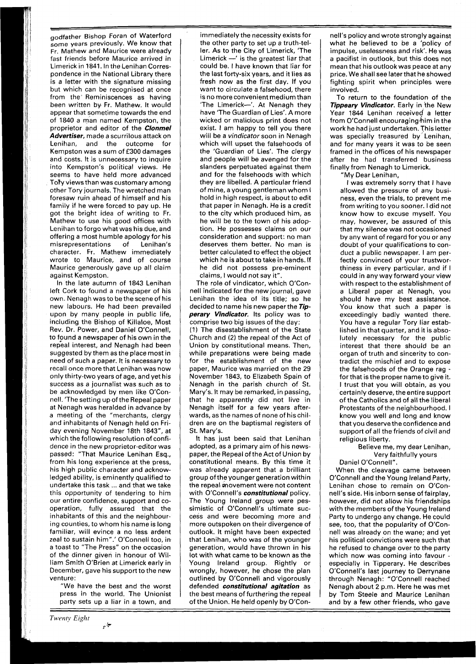godfather Bishop Foran of Waterford some years previously. We know that Fr. Mathew and Maurice were already fast friends before Maurice arrived in Limerick in 1841. In the Lenihan Correspondence in the National Library there is a letter with the signature missing but which can be recognised at once from the' Reminiscences as having been written by Fr. Mathew. It would appear that sometime towards the end of 1840 a man named Kempston, the proprietor and editor of the **Clonmel Advertiser,** made a scurrilous attack on Lenihan, and the outcome for Kempston was a sum of £300 damages and costs. It is unnecessary to inquire into Kempston's political views. He seems to have held more advanced To'fy views than was customary among other Tory journals. The wretched man foresaw ruin ahead of himself and his family if he were forced to pay up. He got the bright idea of writing to Fr. Mathew to use his good offices with Lenihan to forgowhat was his due, and offering a most humble apology for his misrepresentations of Lenihan's character. Fr. Mathew immediately wrote to Maurice, and of course Maurice generously gave up all claim against Kempston.

In the late autumn of 1843 Lenihan left Cork to found a newspaper of his own. Nenagh was to be the scene of his new labours. He had been prevailed upon by many people in public life, including the Bishop of Killaloe, Most Rev. Dr. Power, and Daniel O'Connell, to found a newspaper of his own in the repeal interest, and Nenagh had been suggested by them as the place most in need of such a paper. It is necessary to recall once more that Lenihan was now only thirty-two years of age, and yet his success as a journalist was such as to be acknowledged by men like O'Connell. 'The setting up of the Repeal paper at Nenagh was heralded in advance by a meeting of the "merchants, clergy and inhabitants of Nenagh held on Friday evening November 18th 1843", at which the following resolution of confidence in the new proprietor-editor was passed: "That Maurice Lenihan Esq., from his long experience at the press, his high public character and acknowledged ability, is eminently qualified to undertake this task ... and that we take this opportunity of tendering to him our entire confidence, support and cooperation, fully assured that the inhabitants of this and the neighbouring counties, to whom his name is long familiar, will evince a no less ardent zeal to sustain him".' O'Connell too, in a toast to "The Press" on the occasion of the dinner given in honour of William Smith O'Brien at Limerick early in December, gave his support to the new venture:

"We have the best and the worst press in the world. The Unionist party sets up a liar in a town, and

حياتين

immediately the necessity exists for the other party to set up a truth-teller. As to the City of Limerick, 'The Limerick  $-$ ' is the greatest liar that could be. I have known that liar for the last forty-six years, and it lies as fresh now as the first day. If you want to circulate a falsehood, there is no more convenient medium than 'The Limerick-'. At Nenagh they have 'The Guardian of Lies'. A more wicked or malicious print does not exist. I am happy to tell you there will be a *vindicator* soon in Nenagh which will upset the falsehoods of the 'Guardian of Lies'. The clergy and people will be avenged for the slanders perpetuated against them and for the falsehoods with which they are libelled. A particular friend of mine, a young gentleman whom I hold in high respect, is about to edit that paper in Nenagh. He is a credit to the city which produced him, as he will be to the town of his adoption. He possesses claims on our consideration and support: no man deserves them better. No man is better calculated to effect the object which he is about to take in hands. If he did not possess pre-eminent claims, I would not say it".

The role of vindicator, which O'Connell indicated for the new journal, gave Lenihan the idea of its title; so he decided to name his new paperthe **Tipperary Vindicator.** Its policy was to comprise two big issues of the day:

(1) The disestablishment of the State Church and (2) the repeal of the Act of Union by constitutional means. Then, while preparations were being made for the establishment of the new paper, Maurice was married on the 29 November 1843, to Elizabeth Spain of Nenagh in the parish church of St. Mary's. It may be remarked, in passing, that he apparently did not live in Nenagh itself for a few years afterwards, as the names of none of his children are on the baptismal registers of St. Mary's.

It has just been said that Lenihan adopted, as a primary aim of his newspaper, the Repeal of the Act of Union by constitutional means. By this time it was already apparent that a brilliant group of the younger generation within the repeal movement were not content with O'Connell's **constitutional** policy. The Young lreland group were pessimistic of O'Connell's ultimate success and were becoming more and more outspoken on their divergence of outlook. It might have been expected that Lenihan, who was of the younger generation, would have thrown in his lot with what came to be known as the Young lreland group. Rightly or wrongly, however, he chose the plan outlined by O'Connell and vigorously defended **constitutional agitation** as the best means of furthering the repeal of the Union. He held openly by O'Con-

nell's policy and wrote strongly against what he believed to be a 'policy of impulse, uselessness and risk'. He was a pacifist in outlook, but this does not mean that his outlook was peace at any price. We shall see laterthat he showed fighting spirit when principles were involved.

To return to the foundation of the **Tippeary Vindicator.** Early in the New Year 1844 Lenihan received a letter from O'Connell encouraginghim in the work he had just undertaken. This letter was specially treasured by Lenihan, and for many years it was to be seen framed in the offices of his newspaper after he had transferred business finally from Nenagh to Limerick.

"My Dear Lenihan,

I was extremely sorry that I have allowed the pressure of any business, even the trials, to prevent me from writing to you sooner. I did not know how to excuse myself. You may, however, be assured of this that my silence was not occasioned by any want of regard for you or any doubt of your qualifications to conduct a public newspaper. I am perfectly convinced of your trustworthiness in every particular, and if I could in any way forward your view with respect to the establishment of a Liberal paper at Nenagh, you should have my best assistance. You know that such a paper is exceedingly badly wanted there. You have a regular Tory liar established in that quarter, and it is absolutely necessary for the public interest that there should be an organ of truth and sincerity to contradict the mischief and to expose the falsehoods of the Orange rag - for that is the proper name to give it. I trust that you will obtain, as you certainly deserve, the entire support of the Catholics and of all the liberal Protestants of the neighbourhood. I know you well and long and know that you deserve the confidence and support of all the friends of civil and religious liberty.

Believe me, my dear Lenihan, Very faithfully yours

Daniel O'Connell".

When the cleavage came between O'Connell and the Young lreland Party, Lenihan chose to remain on O'Connell's side. His inborn sense of fairplay, however, did not allow his friendships with the members of the Young lreland Party to undergo any change. He could see, too, that the popularity of O'Connell was already on the wane; and yet his political convictions were such that he refused to change over to the party which now was coming into favour especially in Tipperary. He describes O'Connell's last journey to Derrynane through Nenagh: "O'Connell reached Nenagh about 2 p.m. Here he was met by Tom Steele and Maurice Lenihan and by a few other friends, who gave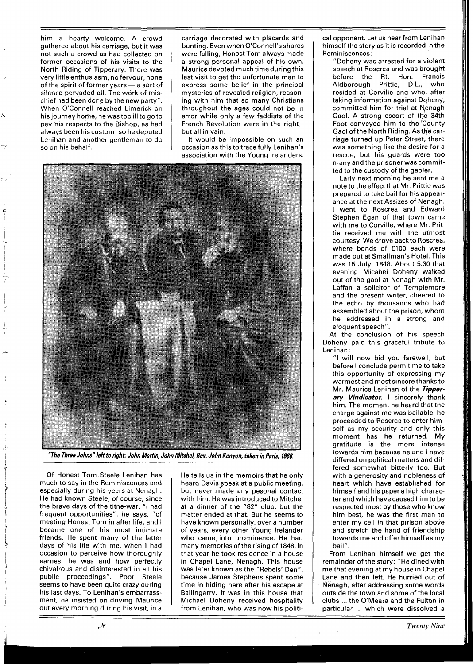him a hearty welcome. A crowd gathered about his carriage, but it was not such a crowd as had collected on former occasions of his visits to the North Riding of Tipperary. There was very little enthusiasm, no fervour, none of the spirit of former years  $-$  a sort of silence pervaded all. The work of mischief had been dong by the new party". When O'Connell reached Limerick on his journey home, he was too ill to go to pay his respects to the Bishop, as had always been hiscustom; so he deputed Lenihan and another gentleman to do so on his behalf.

carriage decorated with placards and bunting. Even when O'Connell's shares were falling, Honest Tom always made a strong personal appeal of his own. Maurice devoted much time during this last visit to get the unfortunate man to express some belief in the principal mysteries of revealed religion, reasoning with him that so many Christians throughout the ages could not be in error while only a few faddists of the French Revolution were in the right but all in vain.

It would be impossible on such an occasion as this to trace fully Lenihan's association with the Young Irelanders.



**"The Three Johns" left to right: John Martin,** , **John Mitchel, Rev. John Kenyon, taken inparis, 1866.** 

Of Honest Tom Steele Lenihan has much to say in the Reminiscences and especially during his years at Nenagh. He had known Steele, of course, since the brave days of the tithe-war. "I had frequent opportunities", he says, "of meeting Honest Tom in after life, and I became one of his most intimate friends. He spent many of the latter days of his life with me, when I had occasion to perceive how thoroughly earnest he was and how perfectly chivalrous and disinterested in all his public proceedings". Poor Steele seems to have been quite crazy during his last days. To Lenihan's embarrassment, he insisted on driving Maurice out every morning during his visit, in a

جا: بر

He tells us in the memoirs that he only heard Davis speak at a public meeting, but never made any pesonal contact with him. He was introduced to Mitchel at a dinner of the **"82"** club, but the matter ended at that. But he seems to have known personally, over a number of years, every other Young lrelander who came. into prominence. He had many memories of the rising of **1848.** In that year he took residence in a house in Chapel Lane, Nenagh. This house was later known as the "Rebels' Den", because James Stephens spent some time in hiding here after his escape at Ballingarry. It was in this house that Michael Doheny received hospitality from Lenihan, who was now his politi-

cal opponent. Let us hear from Lenihan himself the story as it is recorded in the Reminiscences:

"Doheny was arrested for a violent speech at Roscrea and was brought before the Rt. Hon. Francis Aldborough Prittie, D.L., who resided at Corville and who, after taking information against Doheny, committed him for trial at Nenagh Gaol. A strong escort of the 34th Foot conveyed him to the County Gaol of the North Riding. As the carriage turned up Peter Street, there was something like the desire for a rescue, but his guards were too many and the prisonerwas committed to the custody of the gaoler.

Early next morning he sent me a note to the effect that Mr. Prittie was prepared to take bail for his appearance at the next Assizes of Nenagh. I went to Roscrea and Edward Stephen Egan of that town came with me to Corville, where Mr. Prittie received me with the utmost courtesy. We drove backto Roscrea, where bonds of £100 each were made out at Smallman's Hotel. This was 15 July, **1848.** About 5.30 that evening Micahel Doheny walked out of the gaol at Nenagh with Mr. Laffan a solicitor of Templemore and the present writer, cheered to the echo by thousands who had assembled about the prison, whom he addressed in a strong and eloquent speech".

At the conclusion of his speech Doheny paid this graceful tribute to Lenihan:

"I will now bid you farewell, but before I conclude permit me to take this opportunity of expressing my warmest and most sincere thanks to Mr. Maurice Lenihan of the **Tipperary Vindicator.** I sincerely thank him. The moment he heard that the charge against me was bailable, he proceeded to Roscrea to enter himself as my security and only this moment has he returned. My gratitude is the more intense towards him because he and I have differed on political matters and differed somewhat bitterly too. But with a generosity and nobleness of heart which have established for himself and his papera high character and which have caused him to be respected most by those who know him best, he was the first man to enter my cell in that pirison above and stretch the hand of friendship towards me and offer himself as my bail".

From Lenihan himself we get the remainder of the story: "He dined with me that evening at my house in Chapel Lane and then left. He hurried out of Nenagh, after addressing some words outside the town and some of the local clubs ... the O'Meara and the Fulton in particular ... which were dissolved a